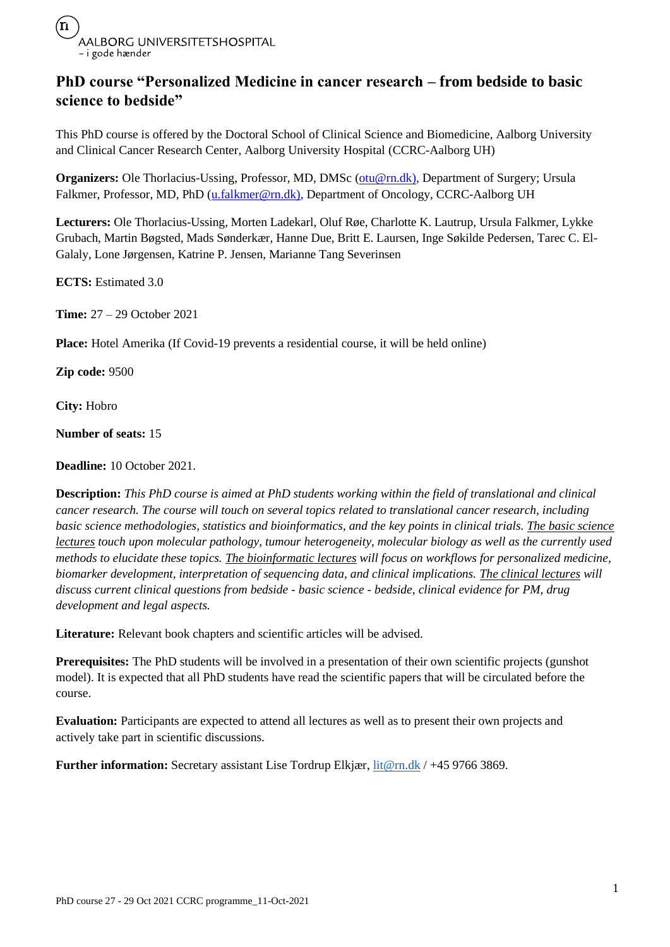

### **PhD course "Personalized Medicine in cancer research – from bedside to basic science to bedside"**

This PhD course is offered by the Doctoral School of Clinical Science and Biomedicine, Aalborg University and Clinical Cancer Research Center, Aalborg University Hospital (CCRC-Aalborg UH)

**Organizers:** Ole Thorlacius-Ussing, Professor, MD, DMSc [\(otu@rn.dk\)](mailto:otu@rn.dk), Department of Surgery; Ursula Falkmer, Professor, MD, PhD [\(u.falkmer@rn.dk\)](mailto:u.falkmer@rn.dk), Department of Oncology, CCRC-Aalborg UH

**Lecturers:** Ole Thorlacius-Ussing, Morten Ladekarl, Oluf Røe, Charlotte K. Lautrup, Ursula Falkmer, Lykke Grubach, Martin Bøgsted, Mads Sønderkær, Hanne Due, Britt E. Laursen, Inge Søkilde Pedersen, Tarec C. El-Galaly, Lone Jørgensen, Katrine P. Jensen, Marianne Tang Severinsen

**ECTS:** Estimated 3.0

**Time:** 27 – 29 October 2021

**Place:** Hotel Amerika (If Covid-19 prevents a residential course, it will be held online)

**Zip code:** 9500

**City:** Hobro

**Number of seats:** 15

**Deadline:** 10 October 2021.

**Description:** *This PhD course is aimed at PhD students working within the field of translational and clinical cancer research. The course will touch on several topics related to translational cancer research, including basic science methodologies, statistics and bioinformatics, and the key points in clinical trials. The basic science lectures touch upon molecular pathology, tumour heterogeneity, molecular biology as well as the currently used methods to elucidate these topics. The bioinformatic lectures will focus on workflows for personalized medicine, biomarker development, interpretation of sequencing data, and clinical implications. The clinical lectures will discuss current clinical questions from bedside - basic science - bedside, clinical evidence for PM, drug development and legal aspects.*

**Literature:** Relevant book chapters and scientific articles will be advised.

**Prerequisites:** The PhD students will be involved in a presentation of their own scientific projects (gunshot model). It is expected that all PhD students have read the scientific papers that will be circulated before the course.

**Evaluation:** Participants are expected to attend all lectures as well as to present their own projects and actively take part in scientific discussions.

Further information: Secretary assistant Lise Tordrup Elkjær, [lit@rn.dk](mailto:lit@rn.dk) / +45 9766 3869.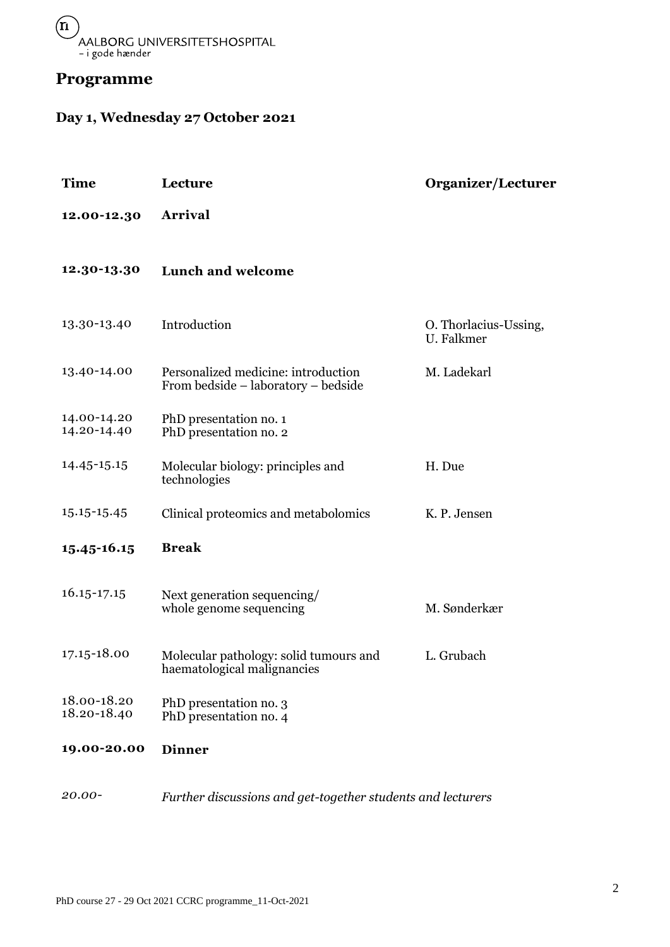

## **Programme**

# **Day 1, Wednesday 27 October 2021**

| <b>Time</b>                | Lecture                                                                    | <b>Organizer/Lecturer</b>           |
|----------------------------|----------------------------------------------------------------------------|-------------------------------------|
| 12.00-12.30                | Arrival                                                                    |                                     |
| 12.30-13.30                | Lunch and welcome                                                          |                                     |
| 13.30-13.40                | Introduction                                                               | O. Thorlacius-Ussing,<br>U. Falkmer |
| 13.40-14.00                | Personalized medicine: introduction<br>From bedside – laboratory – bedside | M. Ladekarl                         |
| 14.00-14.20<br>14.20-14.40 | PhD presentation no. 1<br>PhD presentation no. 2                           |                                     |
| 14.45-15.15                | Molecular biology: principles and<br>technologies                          | H. Due                              |
| 15.15-15.45                | Clinical proteomics and metabolomics                                       | K. P. Jensen                        |
| 15.45-16.15                | <b>Break</b>                                                               |                                     |
| $16.15 - 17.15$            | Next generation sequencing/<br>whole genome sequencing                     | M. Sønderkær                        |
| 17.15-18.00                | Molecular pathology: solid tumours and<br>haematological malignancies      | L. Grubach                          |
| 18.00-18.20<br>18.20-18.40 | PhD presentation no. 3<br>PhD presentation no. 4                           |                                     |
| 19.00-20.00                | <b>Dinner</b>                                                              |                                     |
| 20.00-                     | Further discussions and get-together students and lecturers                |                                     |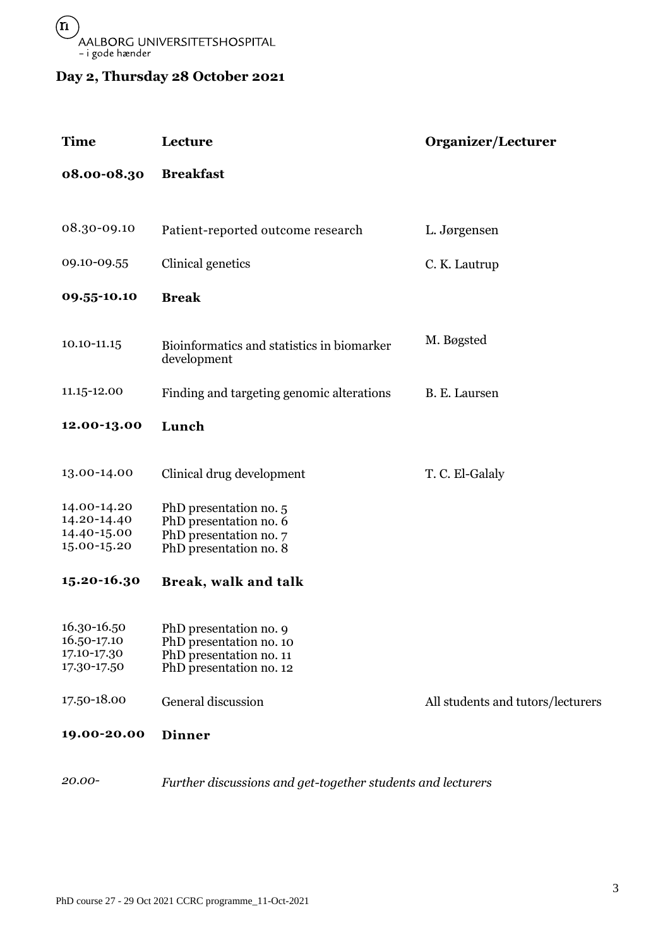## **Day 2, Thursday 28 October 2021**

| <b>Time</b>                                              | Lecture                                                                                                 | Organizer/Lecturer                |
|----------------------------------------------------------|---------------------------------------------------------------------------------------------------------|-----------------------------------|
| 08.00-08.30                                              | <b>Breakfast</b>                                                                                        |                                   |
|                                                          |                                                                                                         |                                   |
| 08.30-09.10                                              | Patient-reported outcome research                                                                       | L. Jørgensen                      |
| 09.10-09.55                                              | Clinical genetics                                                                                       | C. K. Lautrup                     |
| 09.55-10.10                                              | <b>Break</b>                                                                                            |                                   |
| 10.10-11.15                                              | Bioinformatics and statistics in biomarker<br>development                                               | M. Bøgsted                        |
| 11.15-12.00                                              | Finding and targeting genomic alterations                                                               | B. E. Laursen                     |
| 12.00-13.00                                              | Lunch                                                                                                   |                                   |
| 13.00-14.00                                              | Clinical drug development                                                                               | T. C. El-Galaly                   |
| 14.00-14.20<br>14.20-14.40<br>14.40-15.00<br>15.00-15.20 | PhD presentation no. 5<br>PhD presentation no. 6<br>PhD presentation no. 7<br>PhD presentation no. 8    |                                   |
| 15.20-16.30                                              | Break, walk and talk                                                                                    |                                   |
| 16.30-16.50<br>16.50-17.10<br>17.10-17.30<br>17.30-17.50 | PhD presentation no. 9<br>PhD presentation no. 10<br>PhD presentation no. 11<br>PhD presentation no. 12 |                                   |
| 17.50-18.00                                              | General discussion                                                                                      | All students and tutors/lecturers |
| 19.00-20.00                                              | <b>Dinner</b>                                                                                           |                                   |

*20.00- Further discussions and get-together students and lecturers*